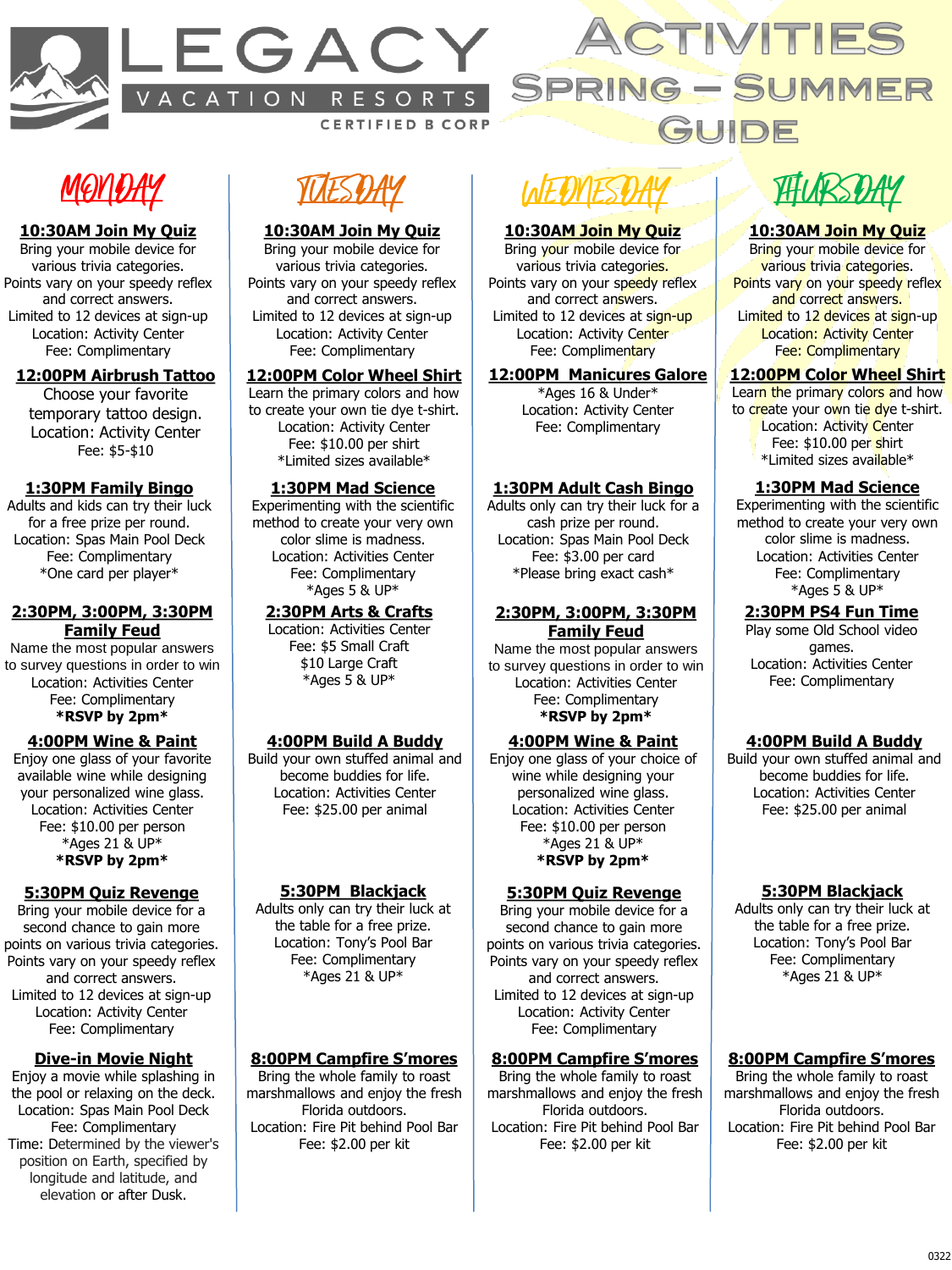



## **MOYLIAY**

#### **10:30AM Join My Quiz**

Bring your mobile device for various trivia categories. Points vary on your speedy reflex and correct answers. Limited to 12 devices at sign-up Location: Activity Center Fee: Complimentary

#### **12:00PM Airbrush Tattoo**

Choose your favorite temporary tattoo design. Location: Activity Center Fee: \$5-\$10

#### **1:30PM Family Bingo**

Adults and kids can try their luck for a free prize per round. Location: Spas Main Pool Deck Fee: Complimentary \*One card per player\*

#### **2:30PM, 3:00PM, 3:30PM Family Feud**

Name the most popular answers to survey questions in order to win Location: Activities Center Fee: Complimentary **\*RSVP by 2pm\***

#### **4:00PM Wine & Paint**

Enjoy one glass of your favorite available wine while designing your personalized wine glass. Location: Activities Center Fee: \$10.00 per person \*Ages 21 & UP\* **\*RSVP by 2pm\***

#### **5:30PM Quiz Revenge**

Bring your mobile device for a second chance to gain more points on various trivia categories. Points vary on your speedy reflex and correct answers. Limited to 12 devices at sign-up Location: Activity Center Fee: Complimentary

#### **Dive-in Movie Night**

Enjoy a movie while splashing in the pool or relaxing on the deck. Location: Spas Main Pool Deck Fee: Complimentary Time: Determined by the viewer's position on Earth, specified by longitude and latitude, and elevation or after Dusk.

TESDAY

#### **10:30AM Join My Quiz**

Bring your mobile device for various trivia categories. Points vary on your speedy reflex and correct answers. Limited to 12 devices at sign-up Location: Activity Center Fee: Complimentary

#### **12:00PM Color Wheel Shirt**

Learn the primary colors and how to create your own tie dye t-shirt. Location: Activity Center Fee: \$10.00 per shirt \*Limited sizes available\*

#### **1:30PM Mad Science**

Experimenting with the scientific method to create your very own color slime is madness. Location: Activities Center Fee: Complimentary \*Ages 5 & UP\*

#### **2:30PM Arts & Crafts**

Location: Activities Center Fee: \$5 Small Craft \$10 Large Craft \*Ages 5 & UP\*

#### **4:00PM Build A Buddy**

Build your own stuffed animal and become buddies for life. Location: Activities Center Fee: \$25.00 per animal

#### **5:30PM Blackjack**

Adults only can try their luck at the table for a free prize. Location: Tony's Pool Bar Fee: Complimentary \*Ages 21 & UP\*

#### **8:00PM Campfire S'mores**

Bring the whole family to roast marshmallows and enjoy the fresh Florida outdoors. Location: Fire Pit behind Pool Bar Fee: \$2.00 per kit

# LAF DYFSD

#### **10:30AM Join My Quiz**

Bring your mobile device for various trivia categories. Points vary on your speedy reflex and correct answers. Limited to 12 devices at sign-up Location: Activity Center Fee: Complimentary

#### **12:00PM Manicures Galore**

\*Ages 16 & Under\* Location: Activity Center Fee: Complimentary

#### **1:30PM Adult Cash Bingo**

Adults only can try their luck for a cash prize per round. Location: Spas Main Pool Deck Fee: \$3.00 per card \*Please bring exact cash\*

#### **2:30PM, 3:00PM, 3:30PM Family Feud**

Name the most popular answers to survey questions in order to win Location: Activities Center Fee: Complimentary **\*RSVP by 2pm\***

#### **4:00PM Wine & Paint**

Enjoy one glass of your choice of wine while designing your personalized wine glass. Location: Activities Center Fee: \$10.00 per person \*Ages 21 & UP\* **\*RSVP by 2pm\***

#### **5:30PM Quiz Revenge**

Bring your mobile device for a second chance to gain more points on various trivia categories. Points vary on your speedy reflex and correct answers. Limited to 12 devices at sign-up Location: Activity Center Fee: Complimentary

### **8:00PM Campfire S'mores**

Bring the whole family to roast marshmallows and enjoy the fresh Florida outdoors. Location: Fire Pit behind Pool Bar Fee: \$2.00 per kit

THURSDAY

#### **10:30AM Join My Quiz**

Bring your mobile device for various trivia categories. Points vary on your speedy reflex and correct answers. Limited to 12 devices at sign-up Location: Activity Center Fee: Complimentary

#### **12:00PM Color Wheel Shirt**

Learn the primary colors and how to create your own tie dye t-shirt. Location: Activity Center Fee: \$10.00 per shirt \*Limited sizes available\*

#### **1:30PM Mad Science**

Experimenting with the scientific method to create your very own color slime is madness. Location: Activities Center Fee: Complimentary \*Ages 5 & UP\*

#### **2:30PM PS4 Fun Time**

Play some Old School video games. Location: Activities Center Fee: Complimentary

#### **4:00PM Build A Buddy**

Build your own stuffed animal and become buddies for life. Location: Activities Center Fee: \$25.00 per animal

#### **5:30PM Blackjack**

Adults only can try their luck at the table for a free prize. Location: Tony's Pool Bar Fee: Complimentary \*Ages 21 & UP\*

#### **8:00PM Campfire S'mores**

Bring the whole family to roast marshmallows and enjoy the fresh Florida outdoors. Location: Fire Pit behind Pool Bar Fee: \$2.00 per kit